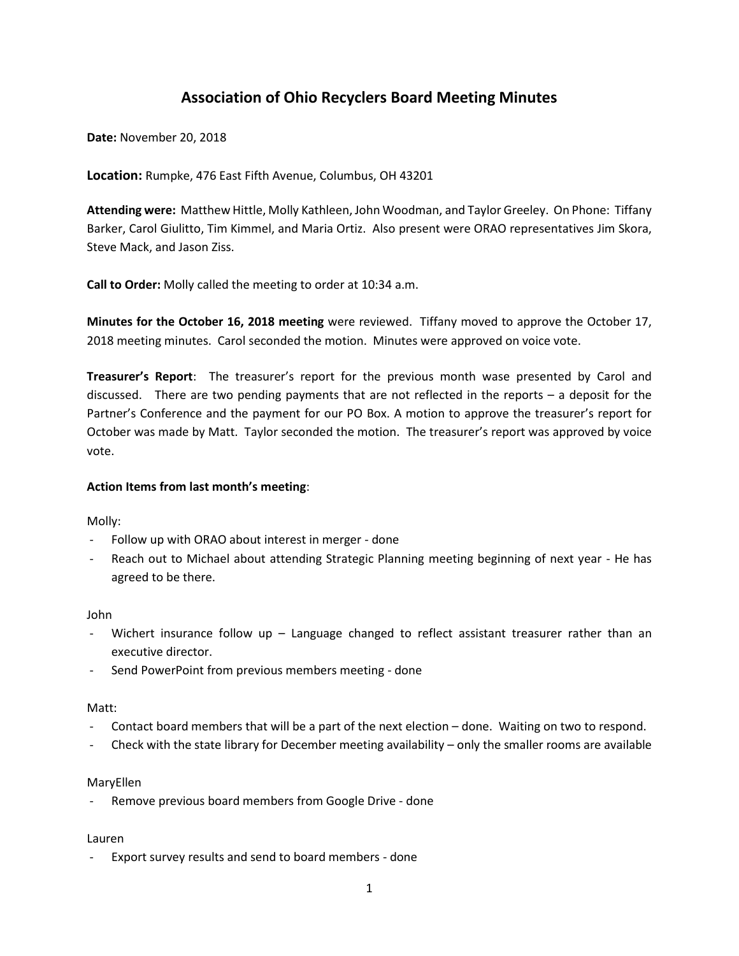# **Association of Ohio Recyclers Board Meeting Minutes**

**Date:** November 20, 2018

**Location:** Rumpke, 476 East Fifth Avenue, Columbus, OH 43201

**Attending were:** Matthew Hittle, Molly Kathleen, John Woodman, and Taylor Greeley. On Phone: Tiffany Barker, Carol Giulitto, Tim Kimmel, and Maria Ortiz. Also present were ORAO representatives Jim Skora, Steve Mack, and Jason Ziss.

**Call to Order:** Molly called the meeting to order at 10:34 a.m.

**Minutes for the October 16, 2018 meeting** were reviewed. Tiffany moved to approve the October 17, 2018 meeting minutes. Carol seconded the motion. Minutes were approved on voice vote.

**Treasurer's Report**: The treasurer's report for the previous month wase presented by Carol and discussed. There are two pending payments that are not reflected in the reports – a deposit for the Partner's Conference and the payment for our PO Box. A motion to approve the treasurer's report for October was made by Matt. Taylor seconded the motion. The treasurer's report was approved by voice vote.

#### **Action Items from last month's meeting**:

Molly:

- Follow up with ORAO about interest in merger done
- Reach out to Michael about attending Strategic Planning meeting beginning of next year He has agreed to be there.

John

- Wichert insurance follow up Language changed to reflect assistant treasurer rather than an executive director.
- Send PowerPoint from previous members meeting done

#### Matt:

- Contact board members that will be a part of the next election done. Waiting on two to respond.
- Check with the state library for December meeting availability only the smaller rooms are available

#### MaryEllen

Remove previous board members from Google Drive - done

#### Lauren

Export survey results and send to board members - done